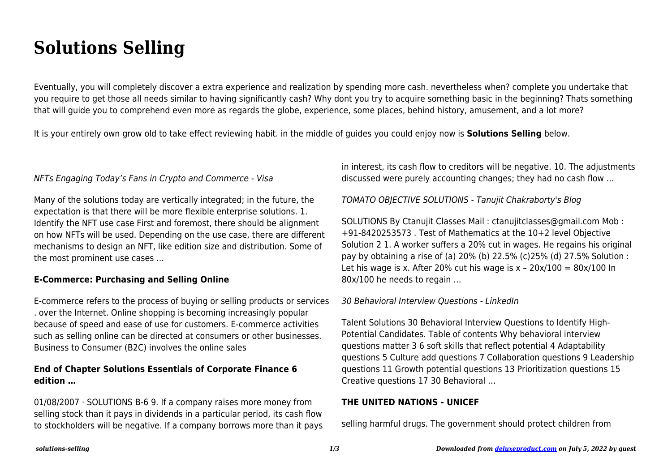# **Solutions Selling**

Eventually, you will completely discover a extra experience and realization by spending more cash. nevertheless when? complete you undertake that you require to get those all needs similar to having significantly cash? Why dont you try to acquire something basic in the beginning? Thats something that will guide you to comprehend even more as regards the globe, experience, some places, behind history, amusement, and a lot more?

It is your entirely own grow old to take effect reviewing habit. in the middle of guides you could enjoy now is **Solutions Selling** below.

## NFTs Engaging Today's Fans in Crypto and Commerce - Visa

Many of the solutions today are vertically integrated; in the future, the expectation is that there will be more flexible enterprise solutions. 1. Identify the NFT use case First and foremost, there should be alignment on how NFTs will be used. Depending on the use case, there are different mechanisms to design an NFT, like edition size and distribution. Some of the most prominent use cases ...

## **E-Commerce: Purchasing and Selling Online**

E-commerce refers to the process of buying or selling products or services . over the Internet. Online shopping is becoming increasingly popular because of speed and ease of use for customers. E-commerce activities such as selling online can be directed at consumers or other businesses. Business to Consumer (B2C) involves the online sales

# **End of Chapter Solutions Essentials of Corporate Finance 6 edition …**

01/08/2007 · SOLUTIONS B-6 9. If a company raises more money from selling stock than it pays in dividends in a particular period, its cash flow to stockholders will be negative. If a company borrows more than it pays in interest, its cash flow to creditors will be negative. 10. The adjustments discussed were purely accounting changes; they had no cash flow ...

## TOMATO OBJECTIVE SOLUTIONS - Tanujit Chakraborty's Blog

SOLUTIONS By Ctanujit Classes Mail : ctanujitclasses@gmail.com Mob : +91-8420253573 . Test of Mathematics at the 10+2 level Objective Solution 2 1. A worker suffers a 20% cut in wages. He regains his original pay by obtaining a rise of (a) 20% (b) 22.5% (c)25% (d) 27.5% Solution : Let his wage is x. After 20% cut his wage is  $x - 20x/100 = 80x/100$  In 80x/100 he needs to regain …

#### 30 Behavioral Interview Questions - LinkedIn

Talent Solutions 30 Behavioral Interview Questions to Identify High-Potential Candidates. Table of contents Why behavioral interview questions matter 3 6 soft skills that reflect potential 4 Adaptability questions 5 Culture add questions 7 Collaboration questions 9 Leadership questions 11 Growth potential questions 13 Prioritization questions 15 Creative questions 17 30 Behavioral …

#### **THE UNITED NATIONS - UNICEF**

selling harmful drugs. The government should protect children from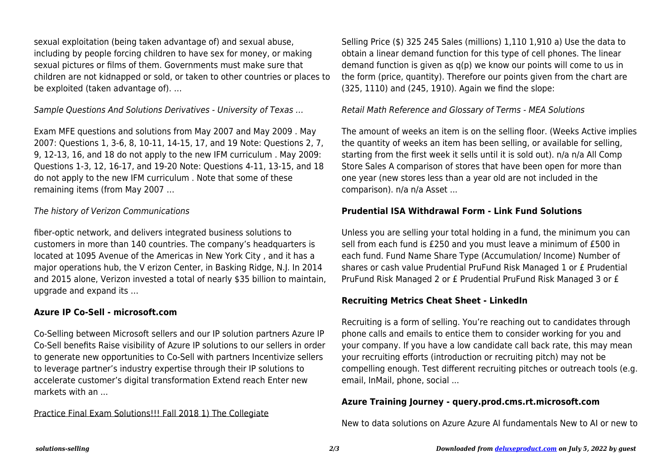sexual exploitation (being taken advantage of) and sexual abuse, including by people forcing children to have sex for money, or making sexual pictures or films of them. Governments must make sure that children are not kidnapped or sold, or taken to other countries or places to be exploited (taken advantage of). …

Sample Questions And Solutions Derivatives - University of Texas …

Exam MFE questions and solutions from May 2007 and May 2009 . May 2007: Questions 1, 3-6, 8, 10-11, 14-15, 17, and 19 Note: Questions 2, 7, 9, 12-13, 16, and 18 do not apply to the new IFM curriculum . May 2009: Questions 1-3, 12, 16-17, and 19-20 Note: Questions 4-11, 13-15, and 18 do not apply to the new IFM curriculum . Note that some of these remaining items (from May 2007 …

# The history of Verizon Communications

fiber-optic network, and delivers integrated business solutions to customers in more than 140 countries. The company's headquarters is located at 1095 Avenue of the Americas in New York City , and it has a major operations hub, the V erizon Center, in Basking Ridge, N.J. In 2014 and 2015 alone, Verizon invested a total of nearly \$35 billion to maintain, upgrade and expand its …

# **Azure IP Co-Sell - microsoft.com**

Co-Selling between Microsoft sellers and our IP solution partners Azure IP Co-Sell benefits Raise visibility of Azure IP solutions to our sellers in order to generate new opportunities to Co-Sell with partners Incentivize sellers to leverage partner's industry expertise through their IP solutions to accelerate customer's digital transformation Extend reach Enter new markets with an ...

Practice Final Exam Solutions!!! Fall 2018 1) The Collegiate

Selling Price (\$) 325 245 Sales (millions) 1,110 1,910 a) Use the data to obtain a linear demand function for this type of cell phones. The linear demand function is given as q(p) we know our points will come to us in the form (price, quantity). Therefore our points given from the chart are (325, 1110) and (245, 1910). Again we find the slope:

## Retail Math Reference and Glossary of Terms - MEA Solutions

The amount of weeks an item is on the selling floor. (Weeks Active implies the quantity of weeks an item has been selling, or available for selling, starting from the first week it sells until it is sold out). n/a n/a All Comp Store Sales A comparison of stores that have been open for more than one year (new stores less than a year old are not included in the comparison). n/a n/a Asset ...

## **Prudential ISA Withdrawal Form - Link Fund Solutions**

Unless you are selling your total holding in a fund, the minimum you can sell from each fund is £250 and you must leave a minimum of £500 in each fund. Fund Name Share Type (Accumulation/ Income) Number of shares or cash value Prudential PruFund Risk Managed 1 or £ Prudential PruFund Risk Managed 2 or £ Prudential PruFund Risk Managed 3 or £

# **Recruiting Metrics Cheat Sheet - LinkedIn**

Recruiting is a form of selling. You're reaching out to candidates through phone calls and emails to entice them to consider working for you and your company. If you have a low candidate call back rate, this may mean your recruiting efforts (introduction or recruiting pitch) may not be compelling enough. Test different recruiting pitches or outreach tools (e.g. email, InMail, phone, social ...

# **Azure Training Journey - query.prod.cms.rt.microsoft.com**

New to data solutions on Azure Azure AI fundamentals New to AI or new to